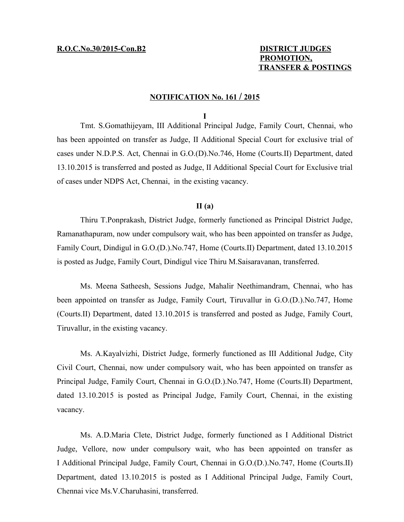## **PROMOTION, TRANSFER & POSTINGS**

### **N OTIFICATION No. 161 / 2015**

**I**

Tmt. S.Gomathijeyam, III Additional Principal Judge, Family Court, Chennai, who has been appointed on transfer as Judge, II Additional Special Court for exclusive trial of cases under N.D.P.S. Act, Chennai in G.O.(D).No.746, Home (Courts.II) Department, dated 13.10.2015 is transferred and posted as Judge, II Additional Special Court for Exclusive trial of cases under NDPS Act, Chennai, in the existing vacancy.

### **II (a)**

Thiru T.Ponprakash, District Judge, formerly functioned as Principal District Judge, Ramanathapuram, now under compulsory wait, who has been appointed on transfer as Judge, Family Court, Dindigul in G.O.(D.).No.747, Home (Courts.II) Department, dated 13.10.2015 is posted as Judge, Family Court, Dindigul vice Thiru M.Saisaravanan, transferred.

Ms. Meena Satheesh, Sessions Judge, Mahalir Neethimandram, Chennai, who has been appointed on transfer as Judge, Family Court, Tiruvallur in G.O.(D.).No.747, Home (Courts.II) Department, dated 13.10.2015 is transferred and posted as Judge, Family Court, Tiruvallur, in the existing vacancy.

Ms. A.Kayalvizhi, District Judge, formerly functioned as III Additional Judge, City Civil Court, Chennai, now under compulsory wait, who has been appointed on transfer as Principal Judge, Family Court, Chennai in G.O.(D.).No.747, Home (Courts.II) Department, dated 13.10.2015 is posted as Principal Judge, Family Court, Chennai, in the existing vacancy.

Ms. A.D.Maria Clete, District Judge, formerly functioned as I Additional District Judge, Vellore, now under compulsory wait, who has been appointed on transfer as I Additional Principal Judge, Family Court, Chennai in G.O.(D.).No.747, Home (Courts.II) Department, dated 13.10.2015 is posted as I Additional Principal Judge, Family Court, Chennai vice Ms.V.Charuhasini, transferred.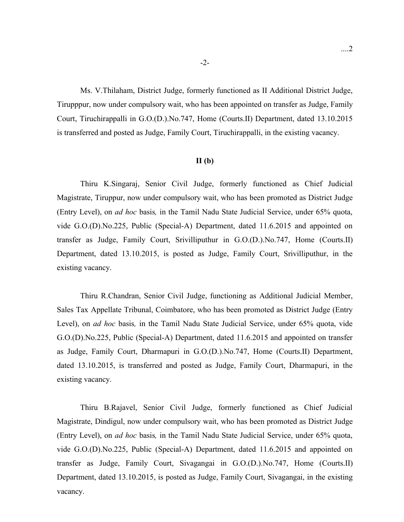Ms. V.Thilaham, District Judge, formerly functioned as II Additional District Judge, Tirupppur, now under compulsory wait, who has been appointed on transfer as Judge, Family Court, Tiruchirappalli in G.O.(D.).No.747, Home (Courts.II) Department, dated 13.10.2015 is transferred and posted as Judge, Family Court, Tiruchirappalli, in the existing vacancy.

### **II (b)**

Thiru K.Singaraj, Senior Civil Judge, formerly functioned as Chief Judicial Magistrate, Tiruppur, now under compulsory wait, who has been promoted as District Judge (Entry Level), on *ad hoc* basis*,* in the Tamil Nadu State Judicial Service, under 65% quota, vide G.O.(D).No.225, Public (Special-A) Department, dated 11.6.2015 and appointed on transfer as Judge, Family Court, Srivilliputhur in G.O.(D.).No.747, Home (Courts.II) Department, dated 13.10.2015, is posted as Judge, Family Court, Srivilliputhur, in the existing vacancy.

Thiru R.Chandran, Senior Civil Judge, functioning as Additional Judicial Member, Sales Tax Appellate Tribunal, Coimbatore, who has been promoted as District Judge (Entry Level), on *ad hoc* basis*,* in the Tamil Nadu State Judicial Service, under 65% quota, vide G.O.(D).No.225, Public (Special-A) Department, dated 11.6.2015 and appointed on transfer as Judge, Family Court, Dharmapuri in G.O.(D.).No.747, Home (Courts.II) Department, dated 13.10.2015, is transferred and posted as Judge, Family Court, Dharmapuri, in the existing vacancy.

Thiru B.Rajavel, Senior Civil Judge, formerly functioned as Chief Judicial Magistrate, Dindigul, now under compulsory wait, who has been promoted as District Judge (Entry Level), on *ad hoc* basis*,* in the Tamil Nadu State Judicial Service, under 65% quota, vide G.O.(D).No.225, Public (Special-A) Department, dated 11.6.2015 and appointed on transfer as Judge, Family Court, Sivagangai in G.O.(D.).No.747, Home (Courts.II) Department, dated 13.10.2015, is posted as Judge, Family Court, Sivagangai, in the existing vacancy.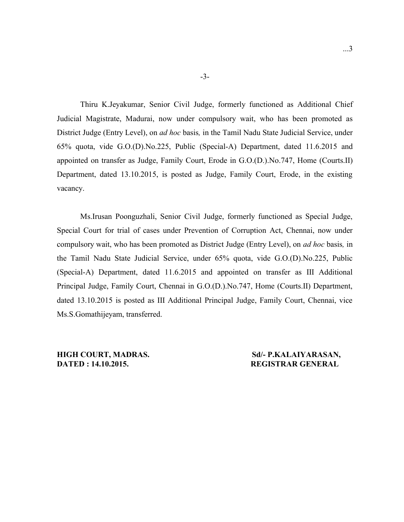Thiru K.Jeyakumar, Senior Civil Judge, formerly functioned as Additional Chief Judicial Magistrate, Madurai, now under compulsory wait, who has been promoted as District Judge (Entry Level), on *ad hoc* basis*,* in the Tamil Nadu State Judicial Service, under 65% quota, vide G.O.(D).No.225, Public (Special-A) Department, dated 11.6.2015 and appointed on transfer as Judge, Family Court, Erode in G.O.(D.).No.747, Home (Courts.II) Department, dated 13.10.2015, is posted as Judge, Family Court, Erode, in the existing vacancy.

Ms.Irusan Poonguzhali, Senior Civil Judge, formerly functioned as Special Judge, Special Court for trial of cases under Prevention of Corruption Act, Chennai, now under compulsory wait, who has been promoted as District Judge (Entry Level), on *ad hoc* basis*,* in the Tamil Nadu State Judicial Service, under 65% quota, vide G.O.(D).No.225, Public (Special-A) Department, dated 11.6.2015 and appointed on transfer as III Additional Principal Judge, Family Court, Chennai in G.O.(D.).No.747, Home (Courts.II) Department, dated 13.10.2015 is posted as III Additional Principal Judge, Family Court, Chennai, vice Ms.S.Gomathijeyam, transferred.

**DATED : 14.10.2015. REGISTRAR GENERAL**

# **HIGH COURT, MADRAS.** Sd/- P.KALAIYARASAN,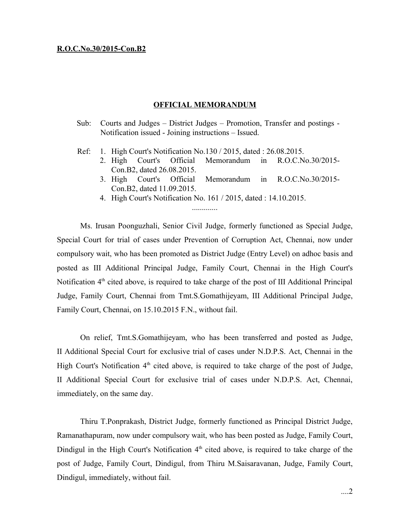### **R.O.C.No.30/2015-Con.B2**

### **OFFICIAL MEMORANDUM**

- Sub: Courts and Judges District Judges Promotion, Transfer and postings Notification issued - Joining instructions – Issued.
- Ref: 1. High Court's Notification No.130 / 2015, dated : 26.08.2015.
	- 2. High Court's Official Memorandum in R.O.C.No.30/2015- Con.B2, dated 26.08.2015.
		- 3. High Court's Official Memorandum in R.O.C.No.30/2015- Con.B2, dated 11.09.2015.
		- 4. High Court's Notification No. 161 / 2015, dated : 14.10.2015. .............

Ms. Irusan Poonguzhali, Senior Civil Judge, formerly functioned as Special Judge, Special Court for trial of cases under Prevention of Corruption Act, Chennai, now under compulsory wait, who has been promoted as District Judge (Entry Level) on adhoc basis and posted as III Additional Principal Judge, Family Court, Chennai in the High Court's Notification 4<sup>th</sup> cited above, is required to take charge of the post of III Additional Principal Judge, Family Court, Chennai from Tmt.S.Gomathijeyam, III Additional Principal Judge, Family Court, Chennai, on 15.10.2015 F.N., without fail.

On relief, Tmt.S.Gomathijeyam, who has been transferred and posted as Judge, II Additional Special Court for exclusive trial of cases under N.D.P.S. Act, Chennai in the High Court's Notification 4<sup>th</sup> cited above, is required to take charge of the post of Judge, II Additional Special Court for exclusive trial of cases under N.D.P.S. Act, Chennai, immediately, on the same day.

Thiru T.Ponprakash, District Judge, formerly functioned as Principal District Judge, Ramanathapuram, now under compulsory wait, who has been posted as Judge, Family Court, Dindigul in the High Court's Notification  $4<sup>th</sup>$  cited above, is required to take charge of the post of Judge, Family Court, Dindigul, from Thiru M.Saisaravanan, Judge, Family Court, Dindigul, immediately, without fail.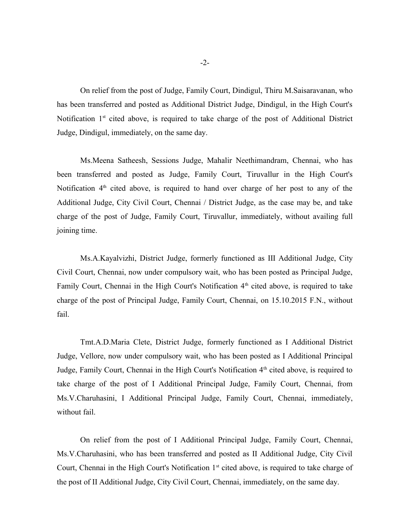On relief from the post of Judge, Family Court, Dindigul, Thiru M.Saisaravanan, who has been transferred and posted as Additional District Judge, Dindigul, in the High Court's Notification 1<sup>st</sup> cited above, is required to take charge of the post of Additional District Judge, Dindigul, immediately, on the same day.

Ms.Meena Satheesh, Sessions Judge, Mahalir Neethimandram, Chennai, who has been transferred and posted as Judge, Family Court, Tiruvallur in the High Court's Notification 4<sup>th</sup> cited above, is required to hand over charge of her post to any of the Additional Judge, City Civil Court, Chennai / District Judge, as the case may be, and take charge of the post of Judge, Family Court, Tiruvallur, immediately, without availing full joining time.

Ms.A.Kayalvizhi, District Judge, formerly functioned as III Additional Judge, City Civil Court, Chennai, now under compulsory wait, who has been posted as Principal Judge, Family Court, Chennai in the High Court's Notification  $4<sup>th</sup>$  cited above, is required to take charge of the post of Principal Judge, Family Court, Chennai, on 15.10.2015 F.N., without fail.

Tmt.A.D.Maria Clete, District Judge, formerly functioned as I Additional District Judge, Vellore, now under compulsory wait, who has been posted as I Additional Principal Judge, Family Court, Chennai in the High Court's Notification 4<sup>th</sup> cited above, is required to take charge of the post of I Additional Principal Judge, Family Court, Chennai, from Ms.V.Charuhasini, I Additional Principal Judge, Family Court, Chennai, immediately, without fail.

On relief from the post of I Additional Principal Judge, Family Court, Chennai, Ms.V.Charuhasini, who has been transferred and posted as II Additional Judge, City Civil Court, Chennai in the High Court's Notification 1<sup>st</sup> cited above, is required to take charge of the post of II Additional Judge, City Civil Court, Chennai, immediately, on the same day.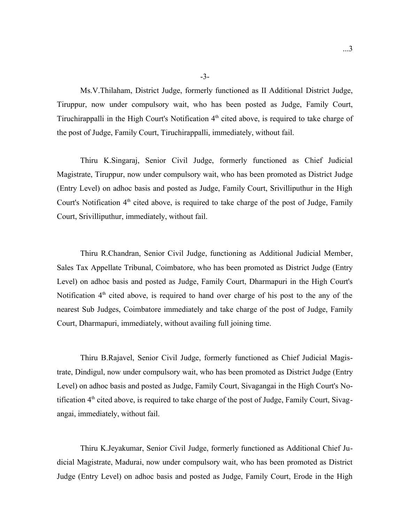Ms.V.Thilaham, District Judge, formerly functioned as II Additional District Judge, Tiruppur, now under compulsory wait, who has been posted as Judge, Family Court, Tiruchirappalli in the High Court's Notification 4<sup>th</sup> cited above, is required to take charge of the post of Judge, Family Court, Tiruchirappalli, immediately, without fail.

Thiru K.Singaraj, Senior Civil Judge, formerly functioned as Chief Judicial Magistrate, Tiruppur, now under compulsory wait, who has been promoted as District Judge (Entry Level) on adhoc basis and posted as Judge, Family Court, Srivilliputhur in the High Court's Notification 4<sup>th</sup> cited above, is required to take charge of the post of Judge, Family Court, Srivilliputhur, immediately, without fail.

Thiru R.Chandran, Senior Civil Judge, functioning as Additional Judicial Member, Sales Tax Appellate Tribunal, Coimbatore, who has been promoted as District Judge (Entry Level) on adhoc basis and posted as Judge, Family Court, Dharmapuri in the High Court's Notification  $4<sup>th</sup>$  cited above, is required to hand over charge of his post to the any of the nearest Sub Judges, Coimbatore immediately and take charge of the post of Judge, Family Court, Dharmapuri, immediately, without availing full joining time.

Thiru B.Rajavel, Senior Civil Judge, formerly functioned as Chief Judicial Magistrate, Dindigul, now under compulsory wait, who has been promoted as District Judge (Entry Level) on adhoc basis and posted as Judge, Family Court, Sivagangai in the High Court's Notification 4<sup>th</sup> cited above, is required to take charge of the post of Judge, Family Court, Sivagangai, immediately, without fail.

Thiru K.Jeyakumar, Senior Civil Judge, formerly functioned as Additional Chief Judicial Magistrate, Madurai, now under compulsory wait, who has been promoted as District Judge (Entry Level) on adhoc basis and posted as Judge, Family Court, Erode in the High